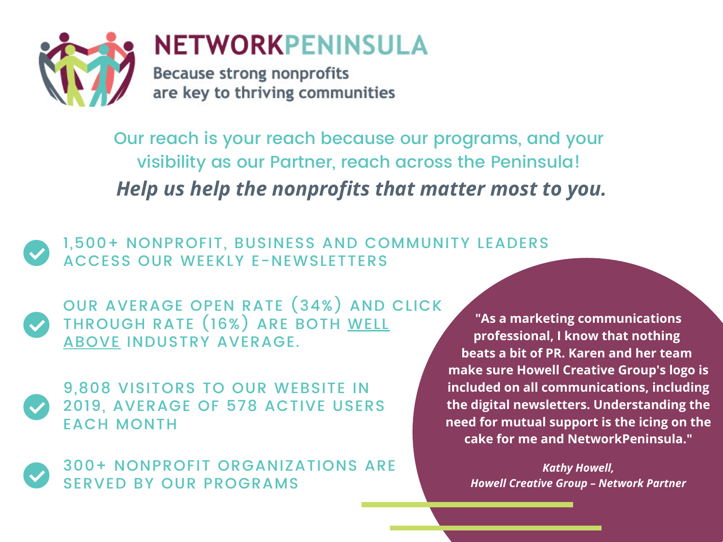

Our reach is your reach because our programs, and your visibility as our Partner, reach across the Peninsula! *Help us help the nonprofits that matter most to you.*

1,500+ NONPROFIT, BUSINESS AND COMMUNITY LEADERS ACCESS OUR WEEKLY E-NEWSLETTERS

OUR AVERAGE OPEN RATE (34%) AND CLICK THROUGH RATE (16%) ARE BOTH WELL ABOVE INDUSTRY AVERAGE.



9,808 VISITORS TO OUR WEBSITE IN 2019, AVERAGE OF 578 ACTIVE USERS EACH MONTH

300+ NONPROFIT ORGANIZATIONS ARE SERVED BY OUR PROGRAMS

**"As a marketing communications professional, I know that nothing beats a bit of PR. Karen and her team make sure Howell Creative Group's logo is included on all communications, including the digital newsletters. Understanding the need for mutual support is the icing on the cake for me and NetworkPeninsula."**

*Kathy Howell, Howell Creative Group – Network Partner*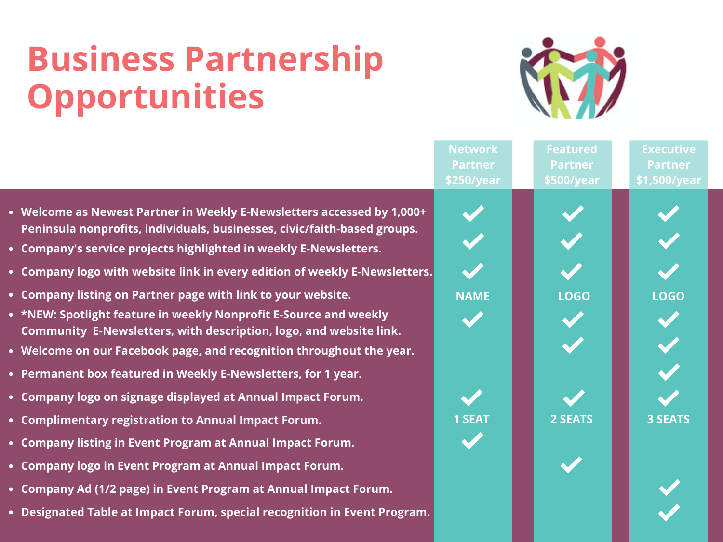# **Business Partnership Opportunities**



|                                                                                                                                                                                                                                                                                                                                                                                                                                                                                                                                                                                          | <b>Network</b> | <b>Featured</b> | <b>Executive</b> |
|------------------------------------------------------------------------------------------------------------------------------------------------------------------------------------------------------------------------------------------------------------------------------------------------------------------------------------------------------------------------------------------------------------------------------------------------------------------------------------------------------------------------------------------------------------------------------------------|----------------|-----------------|------------------|
|                                                                                                                                                                                                                                                                                                                                                                                                                                                                                                                                                                                          | <b>Partner</b> | <b>Partner</b>  | <b>Partner</b>   |
|                                                                                                                                                                                                                                                                                                                                                                                                                                                                                                                                                                                          | \$250/year     | \$500/year      | \$1,500/year     |
| • Welcome as Newest Partner in Weekly E-Newsletters accessed by 1,000+<br>Peninsula nonprofits, individuals, businesses, civic/faith-based groups.<br>• Company's service projects highlighted in weekly E-Newsletters.<br>• Company logo with website link in every edition of weekly E-Newsletters.<br>• Company listing on Partner page with link to your website.<br>• *NEW: Spotlight feature in weekly Nonprofit E-Source and weekly<br>Community E-Newsletters, with description, logo, and website link.<br>• Welcome on our Facebook page, and recognition throughout the year. | <b>NAME</b>    | <b>LOGO</b>     | <b>LOGO</b>      |
| • Permanent box featured in Weekly E-Newsletters, for 1 year.                                                                                                                                                                                                                                                                                                                                                                                                                                                                                                                            |                |                 |                  |
| • Company logo on signage displayed at Annual Impact Forum.<br>• Complimentary registration to Annual Impact Forum.                                                                                                                                                                                                                                                                                                                                                                                                                                                                      | <b>1 SEAT</b>  | 2 SEATS         | <b>3 SEATS</b>   |
| • Company listing in Event Program at Annual Impact Forum.                                                                                                                                                                                                                                                                                                                                                                                                                                                                                                                               |                |                 |                  |
| • Company logo in Event Program at Annual Impact Forum.                                                                                                                                                                                                                                                                                                                                                                                                                                                                                                                                  |                |                 |                  |
| • Company Ad (1/2 page) in Event Program at Annual Impact Forum.                                                                                                                                                                                                                                                                                                                                                                                                                                                                                                                         |                |                 |                  |
| • Designated Table at Impact Forum, special recognition in Event Program.                                                                                                                                                                                                                                                                                                                                                                                                                                                                                                                |                |                 |                  |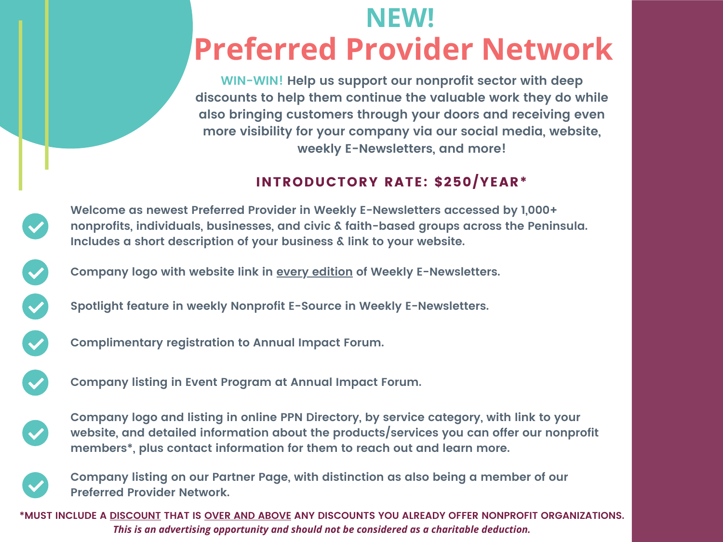# **NEW! Preferred Provider Network**

**WIN-WIN! Help us support our nonprofit sector with deep discounts to help them continue the valuable work they do while also bringing customers through your doors and receiving even more visibility for your company via our social media, website, weekly E-Newsletters, and more!**

### INTRODUCTORY RATE: \$250/YEAR\*

**Welcome as newest Preferred Provider in Weekly E-Newsletters accessed by 1,000+ nonprofits, individuals, businesses, and civic & faith-based groups across the Peninsula. Includes a short description of your business & link to your website.**

**Company logo with website link in every edition of Weekly E-Newsletters.**

**Spotlight feature in weekly Nonprofit E-Source in Weekly E-Newsletters.**



**Complimentary registration to Annual Impact Forum.**



**Company listing in Event Program at Annual Impact Forum.**



**Company logo and listing in online PPN Directory, by service category, with link to your website, and detailed information about the products/services you can offer our nonprofit members\*, plus contact information for them to reach out and learn more.**



**Company listing on our Partner Page, with distinction as also being a member of our Preferred Provider Network.**

**\*MUST INCLUDE A DISCOUNT THAT IS OVER AND ABOVE ANY DISCOUNTS YOU ALREADY OFFER NONPROFIT ORGANIZATIONS.** *This is an advertising opportunity and should not be considered as a charitable deduction.*